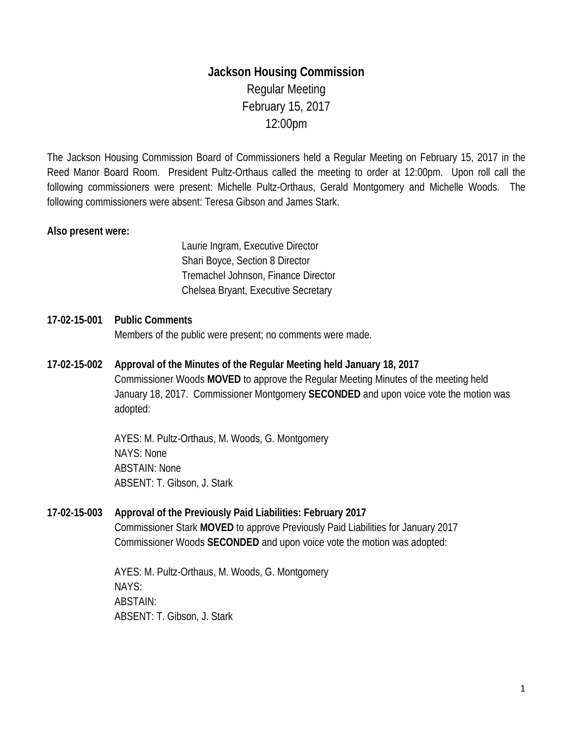# **Jackson Housing Commission** Regular Meeting February 15, 2017 12:00pm

The Jackson Housing Commission Board of Commissioners held a Regular Meeting on February 15, 2017 in the Reed Manor Board Room. President Pultz-Orthaus called the meeting to order at 12:00pm. Upon roll call the following commissioners were present: Michelle Pultz-Orthaus, Gerald Montgomery and Michelle Woods. The following commissioners were absent: Teresa Gibson and James Stark.

#### **Also present were:**

Laurie Ingram, Executive Director Shari Boyce, Section 8 Director Tremachel Johnson, Finance Director Chelsea Bryant, Executive Secretary

# **17-02-15-001 Public Comments**  Members of the public were present; no comments were made.

**17-02-15-002 Approval of the Minutes of the Regular Meeting held January 18, 2017** Commissioner Woods **MOVED** to approve the Regular Meeting Minutes of the meeting held January 18, 2017. Commissioner Montgomery **SECONDED** and upon voice vote the motion was adopted:

> AYES: M. Pultz-Orthaus, M. Woods, G. Montgomery NAYS: None ABSTAIN: None ABSENT: T. Gibson, J. Stark

## **17-02-15-003 Approval of the Previously Paid Liabilities: February 2017**

Commissioner Stark **MOVED** to approve Previously Paid Liabilities for January 2017 Commissioner Woods **SECONDED** and upon voice vote the motion was adopted:

AYES: M. Pultz-Orthaus, M. Woods, G. Montgomery NAYS: ABSTAIN: ABSENT: T. Gibson, J. Stark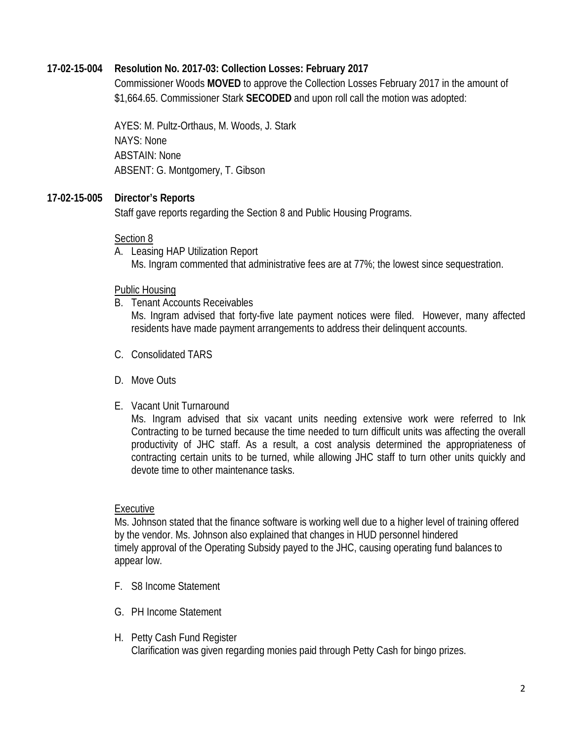## **17-02-15-004 Resolution No. 2017-03: Collection Losses: February 2017**

Commissioner Woods **MOVED** to approve the Collection Losses February 2017 in the amount of \$1,664.65. Commissioner Stark **SECODED** and upon roll call the motion was adopted:

AYES: M. Pultz-Orthaus, M. Woods, J. Stark NAYS: None ABSTAIN: None ABSENT: G. Montgomery, T. Gibson

#### **17-02-15-005 Director's Reports**

Staff gave reports regarding the Section 8 and Public Housing Programs.

#### Section 8

A. Leasing HAP Utilization Report Ms. Ingram commented that administrative fees are at 77%; the lowest since sequestration.

Public Housing

B. Tenant Accounts Receivables

Ms. Ingram advised that forty-five late payment notices were filed. However, many affected residents have made payment arrangements to address their delinquent accounts.

- C. Consolidated TARS
- D. Move Outs
- E. Vacant Unit Turnaround

Ms. Ingram advised that six vacant units needing extensive work were referred to Ink Contracting to be turned because the time needed to turn difficult units was affecting the overall productivity of JHC staff. As a result, a cost analysis determined the appropriateness of contracting certain units to be turned, while allowing JHC staff to turn other units quickly and devote time to other maintenance tasks.

## Executive

Ms. Johnson stated that the finance software is working well due to a higher level of training offered by the vendor. Ms. Johnson also explained that changes in HUD personnel hindered timely approval of the Operating Subsidy payed to the JHC, causing operating fund balances to appear low.

- F. S8 Income Statement
- G. PH Income Statement
- H. Petty Cash Fund Register Clarification was given regarding monies paid through Petty Cash for bingo prizes.